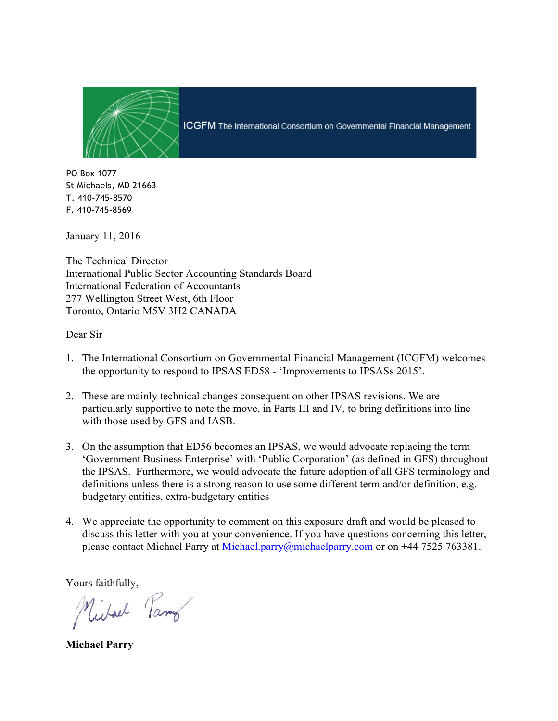

**ICGFM** The International Consortium on Governmental Financial Management

PO Box 1077 St Michaels, MD 21663 T. 410-745-8570 F. 410-745-8569

January 11, 2016

The Technical Director International Public Sector Accounting Standards Board International Federation of Accountants 277 Wellington Street West, 6th Floor Toronto, Ontario M5V 3H2 CANADA

Dear Sir

- 1. The International Consortium on Governmental Financial Management (ICGFM) welcomes the opportunity to respond to IPSAS ED58 - 'Improvements to IPSASs 2015'.
- 2. These are mainly technical changes consequent on other IPSAS revisions. We are particularly supportive to note the move, in Parts III and IV, to bring definitions into line with those used by GFS and IASB.
- 3. On the assumption that ED56 becomes an IPSAS, we would advocate replacing the term 'Government Business Enterprise' with 'Public Corporation' (as defined in GFS) throughout the IPSAS. Furthermore, we would advocate the future adoption of all GFS terminology and definitions unless there is a strong reason to use some different term and/or definition, e.g. budgetary entities, extra-budgetary entities
- 4. We appreciate the opportunity to comment on this exposure draft and would be pleased to discuss this letter with you at your convenience. If you have questions concerning this letter, please contact Michael Parry at Michael.parry@michaelparry.com or on +44 7525 763381.

Yours faithfully,

Michael Parmo

**Michael Parry**